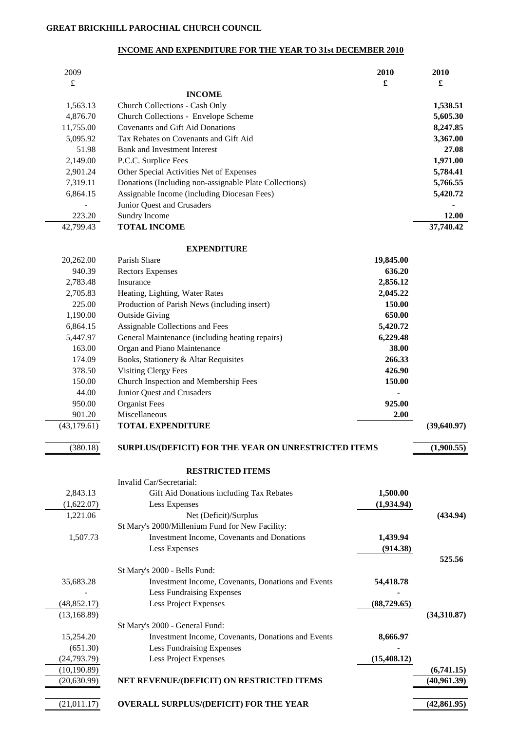## **INCOME AND EXPENDITURE FOR THE YEAR TO 31st DECEMBER 2010**

| 2009                 |                                                                               | 2010         | 2010         |
|----------------------|-------------------------------------------------------------------------------|--------------|--------------|
| £                    |                                                                               | £            | £            |
|                      | <b>INCOME</b>                                                                 |              | 1,538.51     |
| 1,563.13<br>4,876.70 | <b>Church Collections - Cash Only</b><br>Church Collections - Envelope Scheme |              | 5,605.30     |
| 11,755.00            | Covenants and Gift Aid Donations                                              |              | 8,247.85     |
| 5,095.92             | Tax Rebates on Covenants and Gift Aid                                         |              | 3,367.00     |
| 51.98                | <b>Bank and Investment Interest</b>                                           |              | 27.08        |
| 2,149.00             | P.C.C. Surplice Fees                                                          |              | 1,971.00     |
| 2,901.24             | Other Special Activities Net of Expenses                                      |              | 5,784.41     |
| 7,319.11             | Donations (Including non-assignable Plate Collections)                        |              | 5,766.55     |
| 6,864.15             | Assignable Income (including Diocesan Fees)                                   |              | 5,420.72     |
|                      | Junior Quest and Crusaders                                                    |              |              |
| 223.20               | Sundry Income                                                                 |              | 12.00        |
| 42,799.43            | <b>TOTAL INCOME</b>                                                           |              | 37,740.42    |
|                      | <b>EXPENDITURE</b>                                                            |              |              |
| 20,262.00            | Parish Share                                                                  | 19,845.00    |              |
| 940.39               | <b>Rectors Expenses</b>                                                       | 636.20       |              |
| 2,783.48             | Insurance                                                                     | 2,856.12     |              |
| 2,705.83             | Heating, Lighting, Water Rates                                                | 2,045.22     |              |
| 225.00               | Production of Parish News (including insert)                                  | 150.00       |              |
| 1,190.00             | <b>Outside Giving</b>                                                         | 650.00       |              |
| 6,864.15             | Assignable Collections and Fees                                               | 5,420.72     |              |
| 5,447.97             | General Maintenance (including heating repairs)                               | 6,229.48     |              |
| 163.00               | Organ and Piano Maintenance                                                   | 38.00        |              |
| 174.09               | Books, Stationery & Altar Requisites                                          | 266.33       |              |
| 378.50               | <b>Visiting Clergy Fees</b>                                                   | 426.90       |              |
| 150.00               | Church Inspection and Membership Fees                                         | 150.00       |              |
| 44.00                | Junior Quest and Crusaders                                                    |              |              |
| 950.00               | <b>Organist Fees</b>                                                          | 925.00       |              |
| 901.20               | Miscellaneous                                                                 | 2.00         |              |
| (43, 179.61)         | <b>TOTAL EXPENDITURE</b>                                                      |              | (39, 640.97) |
| (380.18)             | SURPLUS/(DEFICIT) FOR THE YEAR ON UNRESTRICTED ITEMS                          |              | (1,900.55)   |
|                      | <b>RESTRICTED ITEMS</b>                                                       |              |              |
|                      | Invalid Car/Secretarial:                                                      |              |              |
| 2,843.13             | Gift Aid Donations including Tax Rebates                                      | 1,500.00     |              |
| (1,622.07)           | Less Expenses                                                                 | (1,934.94)   |              |
| 1,221.06             | Net (Deficit)/Surplus                                                         |              | (434.94)     |
|                      | St Mary's 2000/Millenium Fund for New Facility:                               |              |              |
| 1,507.73             | <b>Investment Income, Covenants and Donations</b>                             | 1,439.94     |              |
|                      | Less Expenses                                                                 | (914.38)     |              |
|                      | St Mary's 2000 - Bells Fund:                                                  |              | 525.56       |
| 35,683.28            | Investment Income, Covenants, Donations and Events                            | 54,418.78    |              |
|                      | <b>Less Fundraising Expenses</b>                                              |              |              |
| (48, 852.17)         | Less Project Expenses                                                         | (88, 729.65) |              |
| (13, 168.89)         |                                                                               |              | (34,310.87)  |
|                      | St Mary's 2000 - General Fund:                                                |              |              |
| 15,254.20            | Investment Income, Covenants, Donations and Events                            | 8,666.97     |              |
| (651.30)             | Less Fundraising Expenses                                                     |              |              |
| (24, 793.79)         | Less Project Expenses                                                         | (15, 408.12) |              |
| (10, 190.89)         |                                                                               |              | (6,741.15)   |
| (20, 630.99)         | NET REVENUE/(DEFICIT) ON RESTRICTED ITEMS                                     |              | (40,961.39)  |
|                      |                                                                               |              |              |
| (21,011.17)          | <b>OVERALL SURPLUS/(DEFICIT) FOR THE YEAR</b>                                 |              | (42, 861.95) |
|                      |                                                                               |              |              |